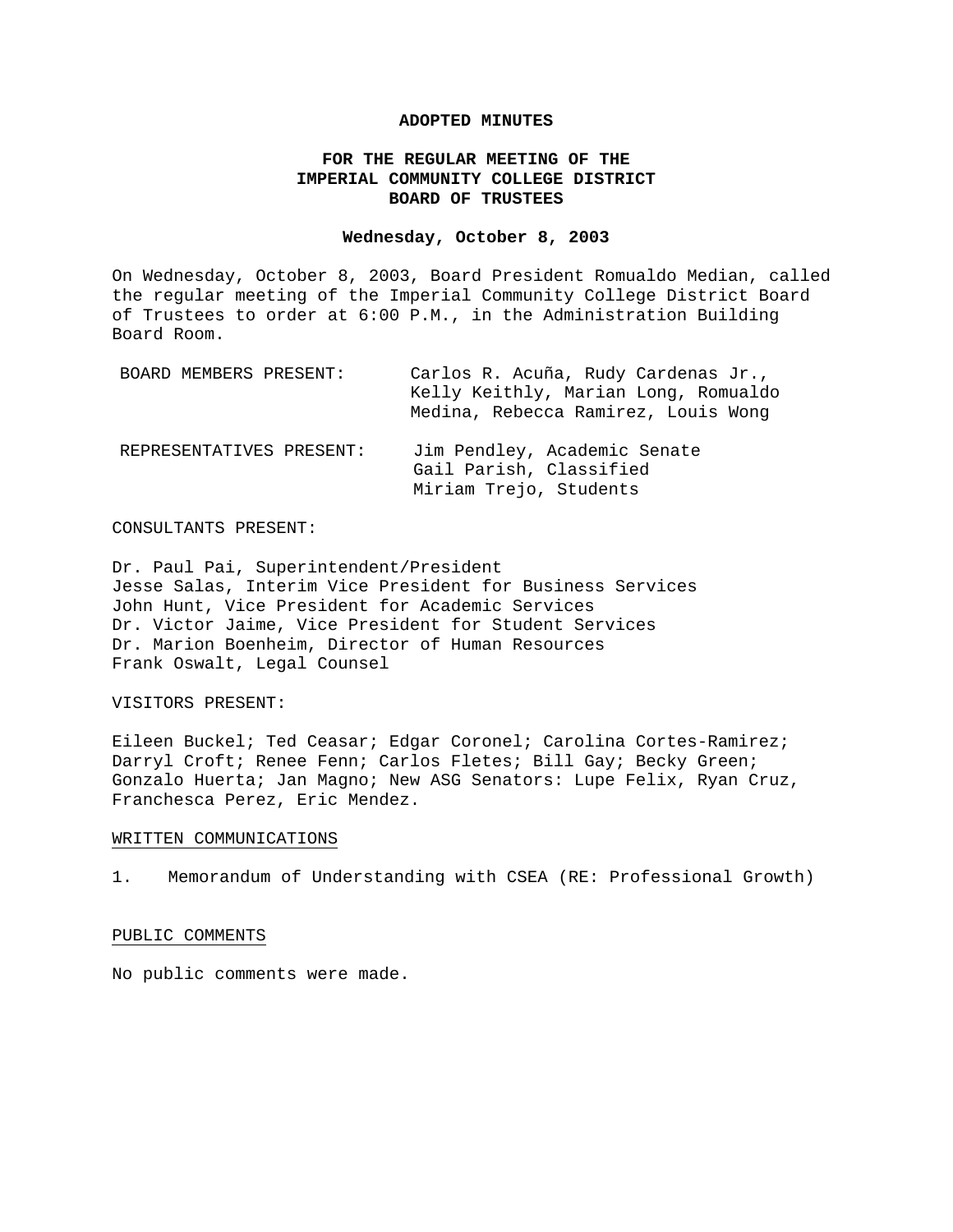## **ADOPTED MINUTES**

# **FOR THE REGULAR MEETING OF THE IMPERIAL COMMUNITY COLLEGE DISTRICT BOARD OF TRUSTEES**

## **Wednesday, October 8, 2003**

On Wednesday, October 8, 2003, Board President Romualdo Median, called the regular meeting of the Imperial Community College District Board of Trustees to order at 6:00 P.M., in the Administration Building Board Room.

| BOARD MEMBERS PRESENT:   | Carlos R. Acuña, Rudy Cardenas Jr.,<br>Kelly Keithly, Marian Long, Romualdo<br>Medina, Rebecca Ramirez, Louis Wong |
|--------------------------|--------------------------------------------------------------------------------------------------------------------|
| REPRESENTATIVES PRESENT: | Jim Pendley, Academic Senate<br>Gail Parish, Classified<br>Miriam Trejo, Students                                  |

## CONSULTANTS PRESENT:

Dr. Paul Pai, Superintendent/President Jesse Salas, Interim Vice President for Business Services John Hunt, Vice President for Academic Services Dr. Victor Jaime, Vice President for Student Services Dr. Marion Boenheim, Director of Human Resources Frank Oswalt, Legal Counsel

## VISITORS PRESENT:

Eileen Buckel; Ted Ceasar; Edgar Coronel; Carolina Cortes-Ramirez; Darryl Croft; Renee Fenn; Carlos Fletes; Bill Gay; Becky Green; Gonzalo Huerta; Jan Magno; New ASG Senators: Lupe Felix, Ryan Cruz, Franchesca Perez, Eric Mendez.

## WRITTEN COMMUNICATIONS

1. Memorandum of Understanding with CSEA (RE: Professional Growth)

### PUBLIC COMMENTS

No public comments were made.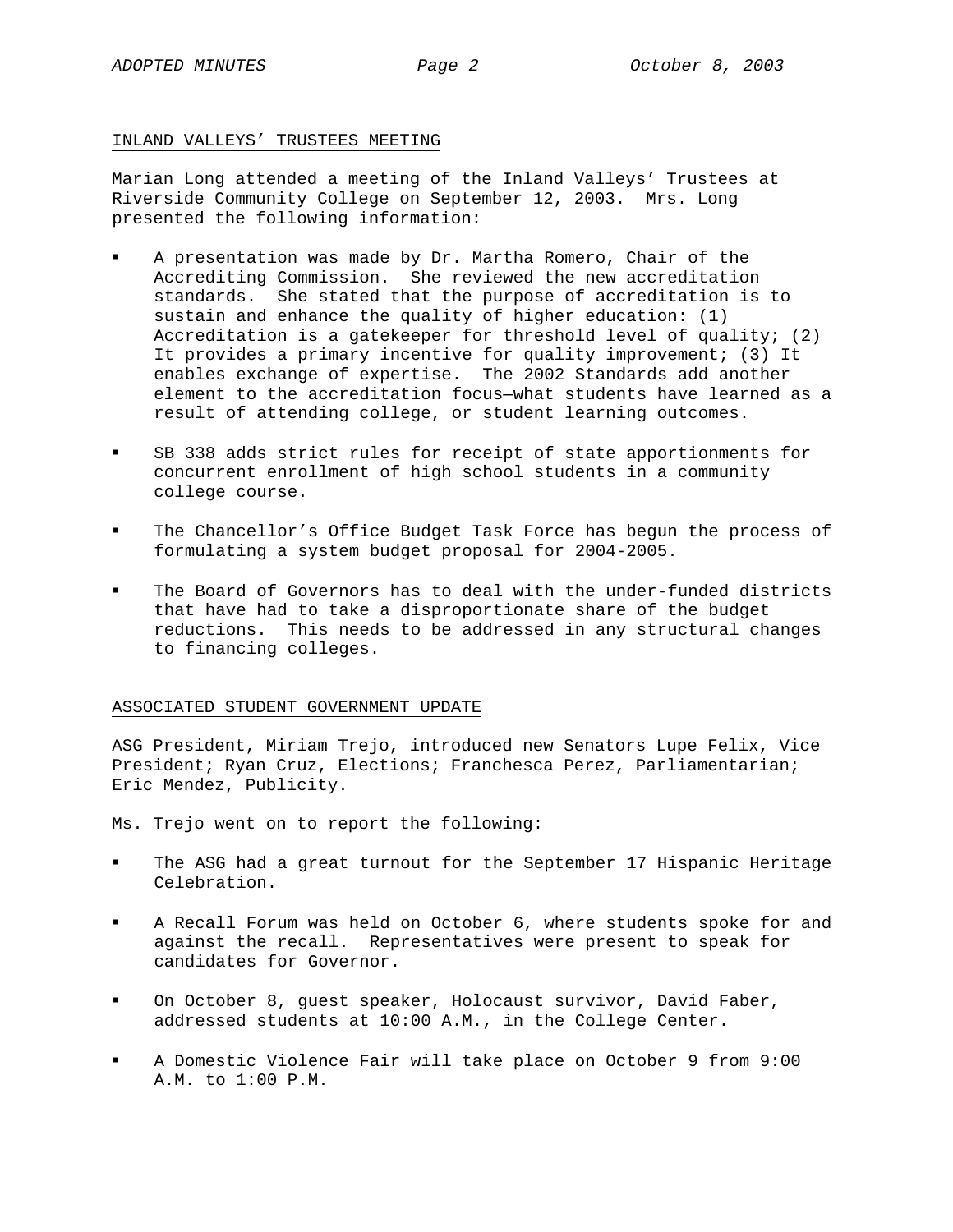## INLAND VALLEYS' TRUSTEES MEETING

Marian Long attended a meeting of the Inland Valleys' Trustees at Riverside Community College on September 12, 2003. Mrs. Long presented the following information:

- A presentation was made by Dr. Martha Romero, Chair of the Accrediting Commission. She reviewed the new accreditation standards. She stated that the purpose of accreditation is to sustain and enhance the quality of higher education: (1) Accreditation is a gatekeeper for threshold level of quality; (2) It provides a primary incentive for quality improvement; (3) It enables exchange of expertise. The 2002 Standards add another element to the accreditation focus—what students have learned as a result of attending college, or student learning outcomes.
- SB 338 adds strict rules for receipt of state apportionments for concurrent enrollment of high school students in a community college course.
- The Chancellor's Office Budget Task Force has begun the process of formulating a system budget proposal for 2004-2005.
- The Board of Governors has to deal with the under-funded districts that have had to take a disproportionate share of the budget reductions. This needs to be addressed in any structural changes to financing colleges.

## ASSOCIATED STUDENT GOVERNMENT UPDATE

ASG President, Miriam Trejo, introduced new Senators Lupe Felix, Vice President; Ryan Cruz, Elections; Franchesca Perez, Parliamentarian; Eric Mendez, Publicity.

Ms. Trejo went on to report the following:

- The ASG had a great turnout for the September 17 Hispanic Heritage Celebration.
- A Recall Forum was held on October 6, where students spoke for and against the recall. Representatives were present to speak for candidates for Governor.
- On October 8, guest speaker, Holocaust survivor, David Faber, addressed students at 10:00 A.M., in the College Center.
- A Domestic Violence Fair will take place on October 9 from 9:00 A.M. to 1:00 P.M.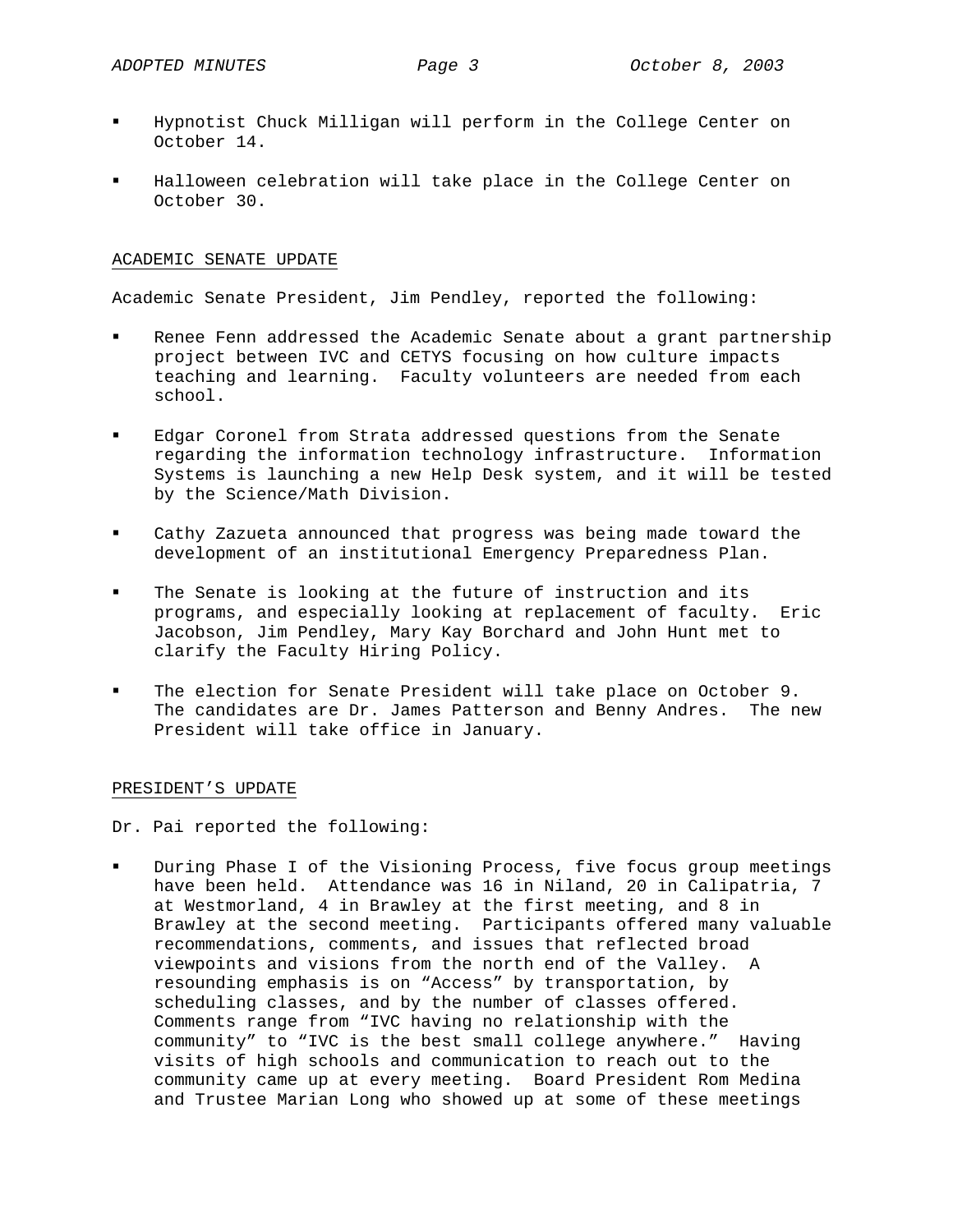- Hypnotist Chuck Milligan will perform in the College Center on October 14.
- Halloween celebration will take place in the College Center on October 30.

## ACADEMIC SENATE UPDATE

Academic Senate President, Jim Pendley, reported the following:

- Renee Fenn addressed the Academic Senate about a grant partnership project between IVC and CETYS focusing on how culture impacts teaching and learning. Faculty volunteers are needed from each school.
- Edgar Coronel from Strata addressed questions from the Senate regarding the information technology infrastructure. Information Systems is launching a new Help Desk system, and it will be tested by the Science/Math Division.
- Cathy Zazueta announced that progress was being made toward the development of an institutional Emergency Preparedness Plan.
- The Senate is looking at the future of instruction and its programs, and especially looking at replacement of faculty. Eric Jacobson, Jim Pendley, Mary Kay Borchard and John Hunt met to clarify the Faculty Hiring Policy.
- The election for Senate President will take place on October 9. The candidates are Dr. James Patterson and Benny Andres. The new President will take office in January.

## PRESIDENT'S UPDATE

Dr. Pai reported the following:

 During Phase I of the Visioning Process, five focus group meetings have been held. Attendance was 16 in Niland, 20 in Calipatria, 7 at Westmorland, 4 in Brawley at the first meeting, and 8 in Brawley at the second meeting. Participants offered many valuable recommendations, comments, and issues that reflected broad viewpoints and visions from the north end of the Valley. A resounding emphasis is on "Access" by transportation, by scheduling classes, and by the number of classes offered. Comments range from "IVC having no relationship with the community" to "IVC is the best small college anywhere." Having visits of high schools and communication to reach out to the community came up at every meeting. Board President Rom Medina and Trustee Marian Long who showed up at some of these meetings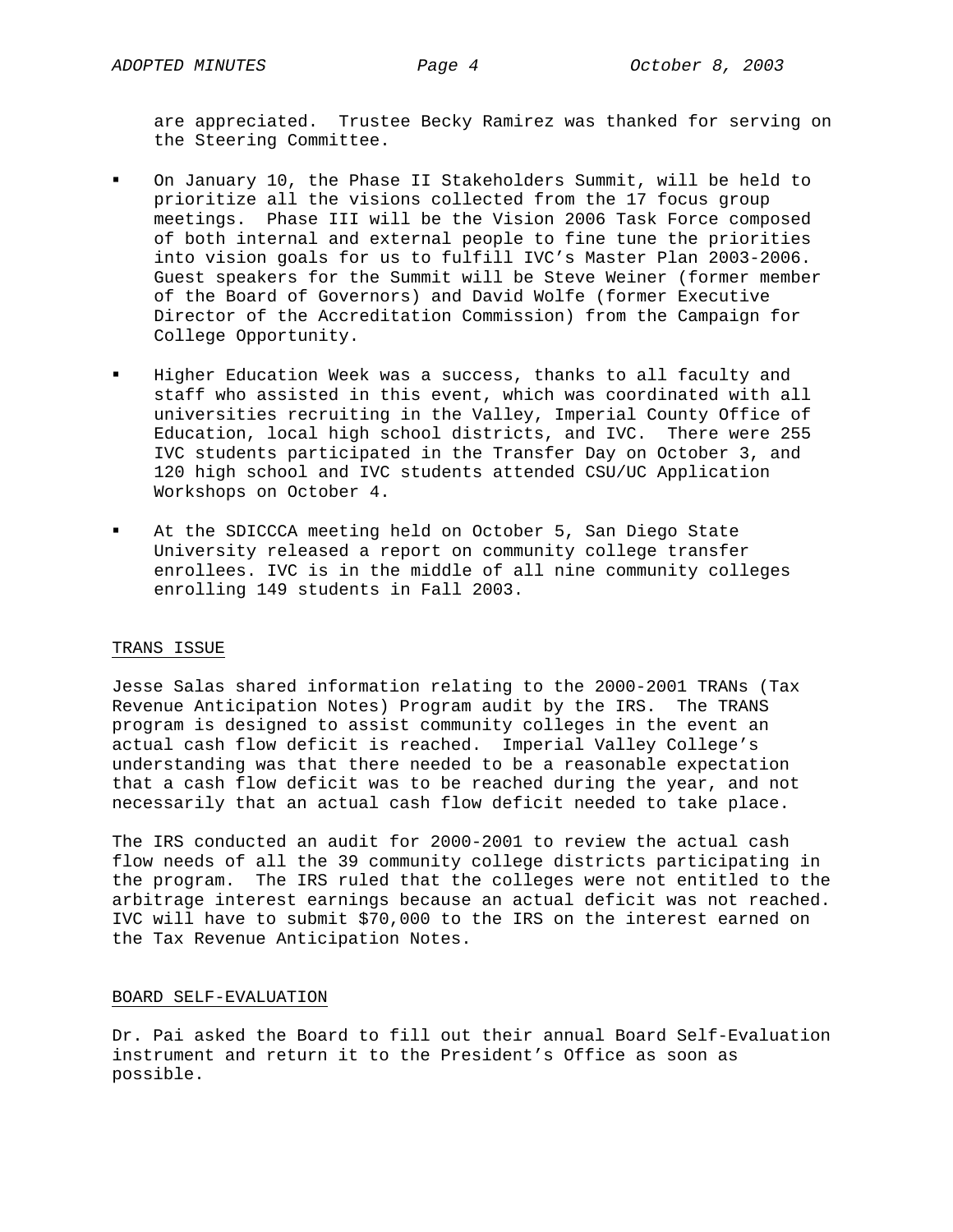are appreciated. Trustee Becky Ramirez was thanked for serving on the Steering Committee.

- On January 10, the Phase II Stakeholders Summit, will be held to prioritize all the visions collected from the 17 focus group meetings. Phase III will be the Vision 2006 Task Force composed of both internal and external people to fine tune the priorities into vision goals for us to fulfill IVC's Master Plan 2003-2006. Guest speakers for the Summit will be Steve Weiner (former member of the Board of Governors) and David Wolfe (former Executive Director of the Accreditation Commission) from the Campaign for College Opportunity.
- Higher Education Week was a success, thanks to all faculty and staff who assisted in this event, which was coordinated with all universities recruiting in the Valley, Imperial County Office of Education, local high school districts, and IVC. There were 255 IVC students participated in the Transfer Day on October 3, and 120 high school and IVC students attended CSU/UC Application Workshops on October 4.
- At the SDICCCA meeting held on October 5, San Diego State University released a report on community college transfer enrollees. IVC is in the middle of all nine community colleges enrolling 149 students in Fall 2003.

## TRANS ISSUE

Jesse Salas shared information relating to the 2000-2001 TRANs (Tax Revenue Anticipation Notes) Program audit by the IRS. The TRANS program is designed to assist community colleges in the event an actual cash flow deficit is reached. Imperial Valley College's understanding was that there needed to be a reasonable expectation that a cash flow deficit was to be reached during the year, and not necessarily that an actual cash flow deficit needed to take place.

The IRS conducted an audit for 2000-2001 to review the actual cash flow needs of all the 39 community college districts participating in the program. The IRS ruled that the colleges were not entitled to the arbitrage interest earnings because an actual deficit was not reached. IVC will have to submit \$70,000 to the IRS on the interest earned on the Tax Revenue Anticipation Notes.

## BOARD SELF-EVALUATION

Dr. Pai asked the Board to fill out their annual Board Self-Evaluation instrument and return it to the President's Office as soon as possible.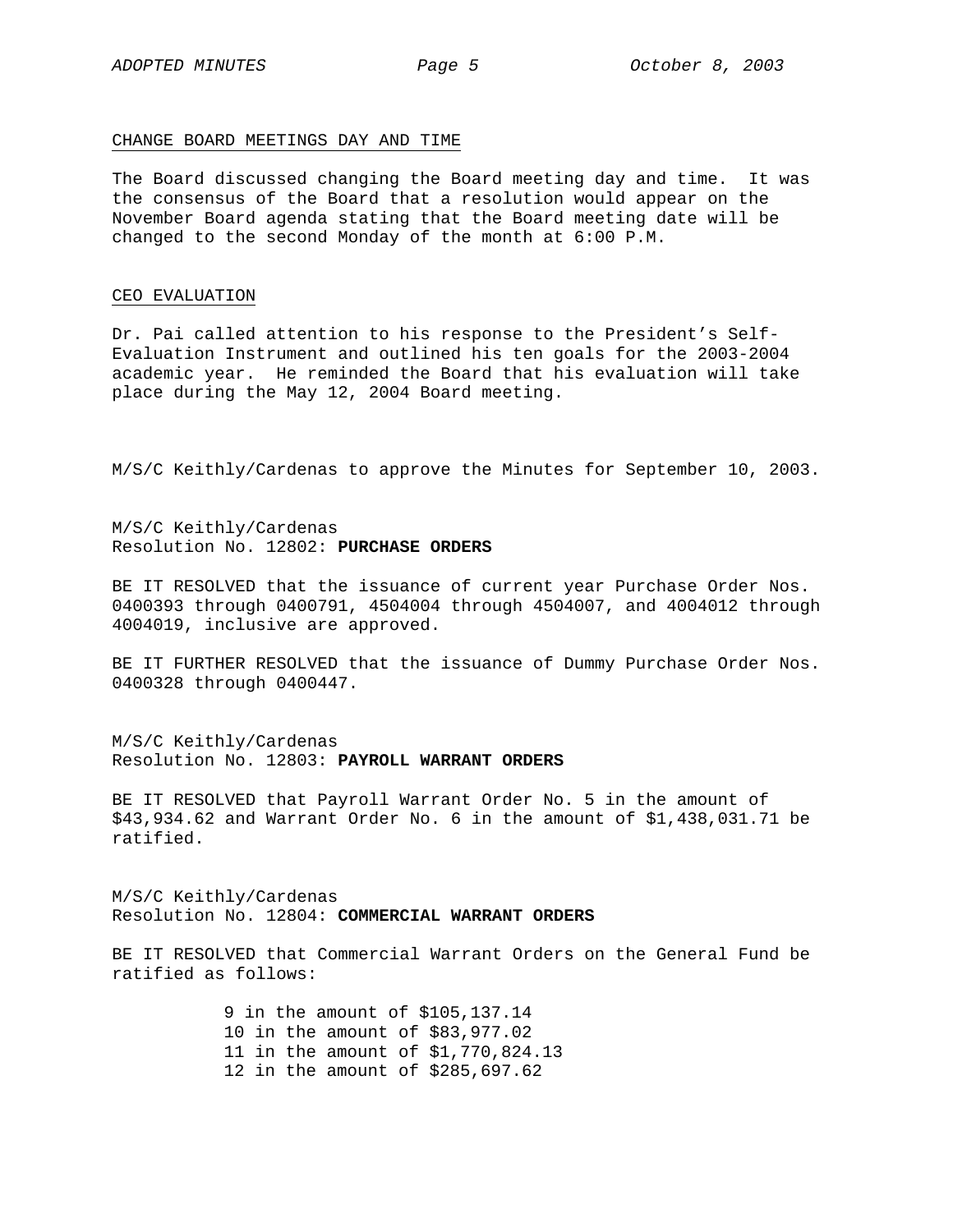## CHANGE BOARD MEETINGS DAY AND TIME

The Board discussed changing the Board meeting day and time. It was the consensus of the Board that a resolution would appear on the November Board agenda stating that the Board meeting date will be changed to the second Monday of the month at 6:00 P.M.

### CEO EVALUATION

Dr. Pai called attention to his response to the President's Self-Evaluation Instrument and outlined his ten goals for the 2003-2004 academic year. He reminded the Board that his evaluation will take place during the May 12, 2004 Board meeting.

M/S/C Keithly/Cardenas to approve the Minutes for September 10, 2003.

M/S/C Keithly/Cardenas Resolution No. 12802: **PURCHASE ORDERS**

BE IT RESOLVED that the issuance of current year Purchase Order Nos. 0400393 through 0400791, 4504004 through 4504007, and 4004012 through 4004019, inclusive are approved.

BE IT FURTHER RESOLVED that the issuance of Dummy Purchase Order Nos. 0400328 through 0400447.

M/S/C Keithly/Cardenas Resolution No. 12803: **PAYROLL WARRANT ORDERS**

BE IT RESOLVED that Payroll Warrant Order No. 5 in the amount of \$43,934.62 and Warrant Order No. 6 in the amount of \$1,438,031.71 be ratified.

M/S/C Keithly/Cardenas Resolution No. 12804: **COMMERCIAL WARRANT ORDERS**

BE IT RESOLVED that Commercial Warrant Orders on the General Fund be ratified as follows:

> 9 in the amount of \$105,137.14 10 in the amount of \$83,977.02 11 in the amount of \$1,770,824.13 12 in the amount of \$285,697.62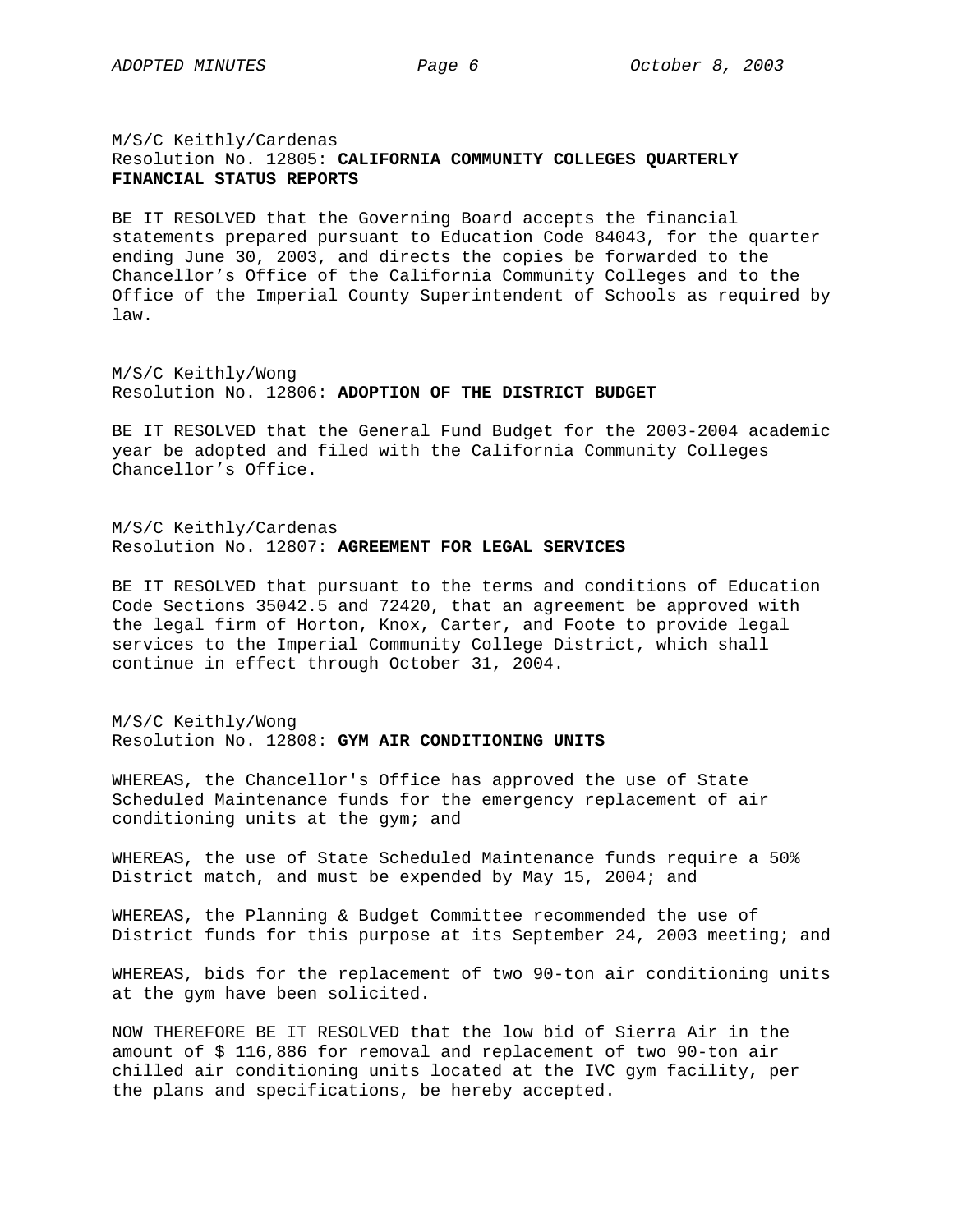# M/S/C Keithly/Cardenas Resolution No. 12805: **CALIFORNIA COMMUNITY COLLEGES QUARTERLY FINANCIAL STATUS REPORTS**

BE IT RESOLVED that the Governing Board accepts the financial statements prepared pursuant to Education Code 84043, for the quarter ending June 30, 2003, and directs the copies be forwarded to the Chancellor's Office of the California Community Colleges and to the Office of the Imperial County Superintendent of Schools as required by law.

M/S/C Keithly/Wong Resolution No. 12806: **ADOPTION OF THE DISTRICT BUDGET** 

BE IT RESOLVED that the General Fund Budget for the 2003-2004 academic year be adopted and filed with the California Community Colleges Chancellor's Office.

M/S/C Keithly/Cardenas Resolution No. 12807: **AGREEMENT FOR LEGAL SERVICES** 

BE IT RESOLVED that pursuant to the terms and conditions of Education Code Sections 35042.5 and 72420, that an agreement be approved with the legal firm of Horton, Knox, Carter, and Foote to provide legal services to the Imperial Community College District, which shall continue in effect through October 31, 2004.

M/S/C Keithly/Wong Resolution No. 12808: **GYM AIR CONDITIONING UNITS** 

WHEREAS, the Chancellor's Office has approved the use of State Scheduled Maintenance funds for the emergency replacement of air conditioning units at the gym; and

WHEREAS, the use of State Scheduled Maintenance funds require a 50% District match, and must be expended by May 15, 2004; and

WHEREAS, the Planning & Budget Committee recommended the use of District funds for this purpose at its September 24, 2003 meeting; and

WHEREAS, bids for the replacement of two 90-ton air conditioning units at the gym have been solicited.

NOW THEREFORE BE IT RESOLVED that the low bid of Sierra Air in the amount of \$ 116,886 for removal and replacement of two 90-ton air chilled air conditioning units located at the IVC gym facility, per the plans and specifications, be hereby accepted.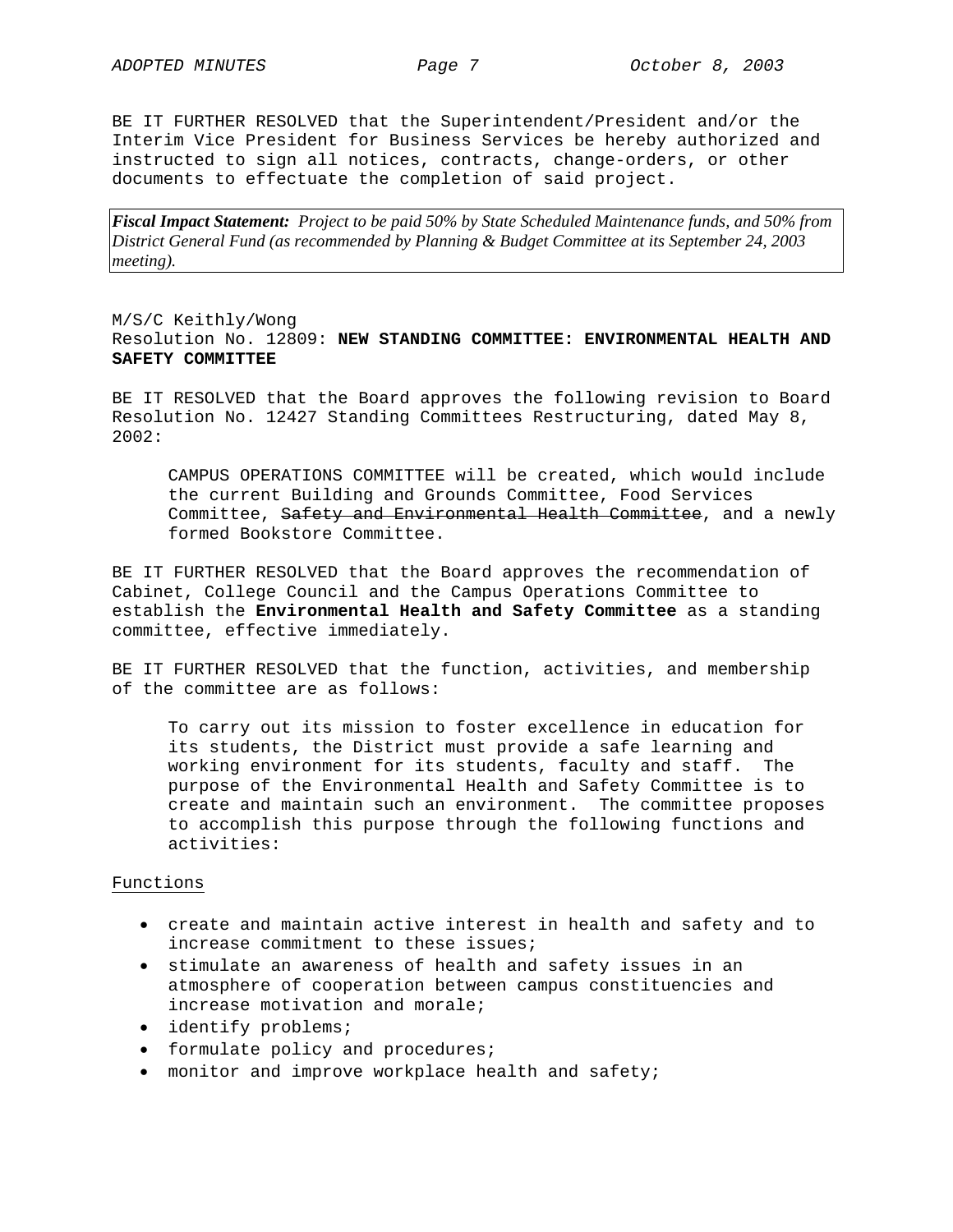BE IT FURTHER RESOLVED that the Superintendent/President and/or the Interim Vice President for Business Services be hereby authorized and instructed to sign all notices, contracts, change-orders, or other documents to effectuate the completion of said project.

*Fiscal Impact Statement: Project to be paid 50% by State Scheduled Maintenance funds, and 50% from District General Fund (as recommended by Planning & Budget Committee at its September 24, 2003 meeting).* 

# M/S/C Keithly/Wong Resolution No. 12809: **NEW STANDING COMMITTEE: ENVIRONMENTAL HEALTH AND SAFETY COMMITTEE**

BE IT RESOLVED that the Board approves the following revision to Board Resolution No. 12427 Standing Committees Restructuring, dated May 8, 2002:

CAMPUS OPERATIONS COMMITTEE will be created, which would include the current Building and Grounds Committee, Food Services Committee, Safety and Environmental Health Committee, and a newly formed Bookstore Committee.

BE IT FURTHER RESOLVED that the Board approves the recommendation of Cabinet, College Council and the Campus Operations Committee to establish the **Environmental Health and Safety Committee** as a standing committee, effective immediately.

BE IT FURTHER RESOLVED that the function, activities, and membership of the committee are as follows:

To carry out its mission to foster excellence in education for its students, the District must provide a safe learning and working environment for its students, faculty and staff. The purpose of the Environmental Health and Safety Committee is to create and maintain such an environment. The committee proposes to accomplish this purpose through the following functions and activities:

# Functions

- create and maintain active interest in health and safety and to increase commitment to these issues;
- stimulate an awareness of health and safety issues in an atmosphere of cooperation between campus constituencies and increase motivation and morale;
- identify problems;
- formulate policy and procedures;
- monitor and improve workplace health and safety;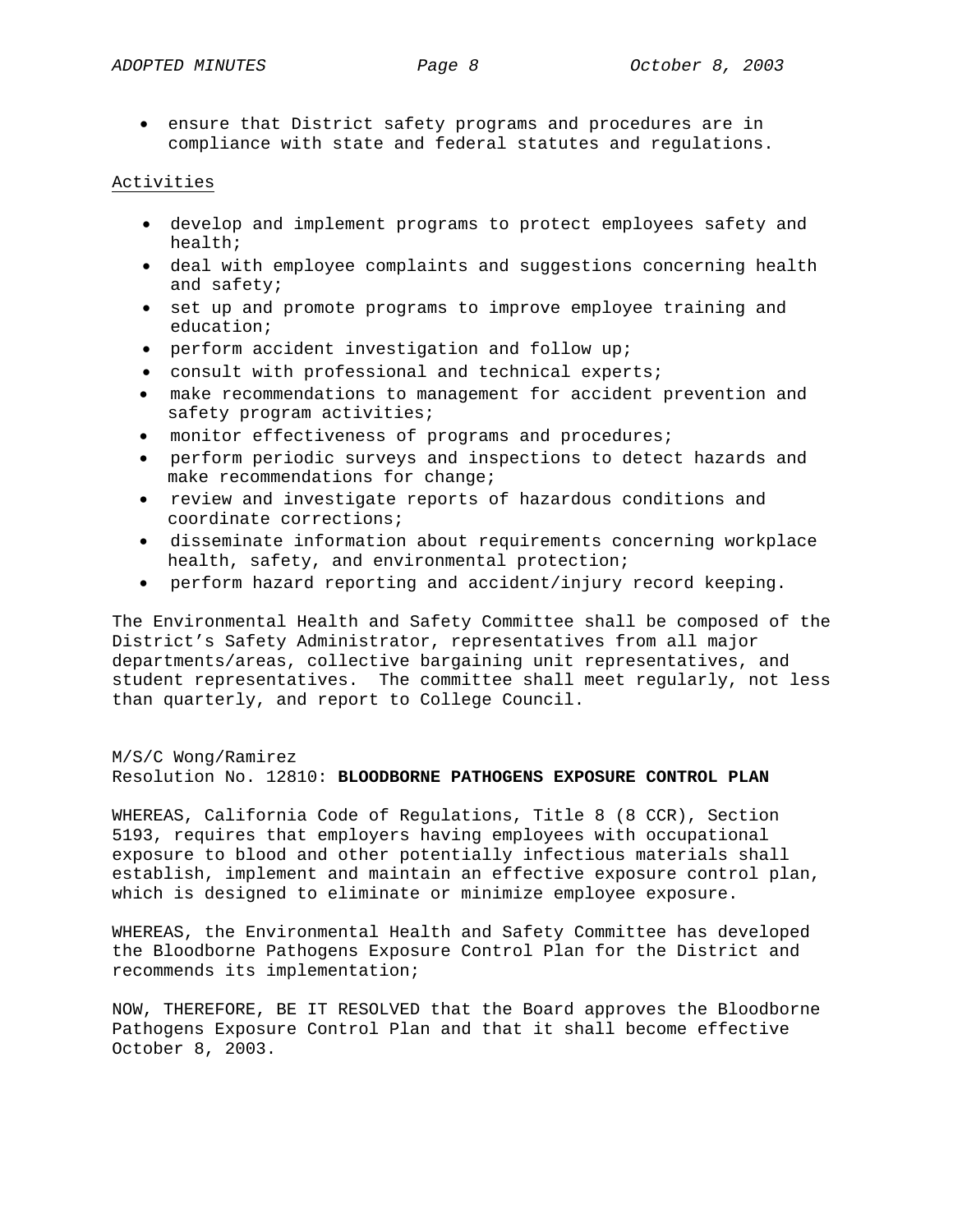• ensure that District safety programs and procedures are in compliance with state and federal statutes and regulations.

## Activities

- develop and implement programs to protect employees safety and health;
- deal with employee complaints and suggestions concerning health and safety;
- set up and promote programs to improve employee training and education;
- perform accident investigation and follow up;
- consult with professional and technical experts;
- make recommendations to management for accident prevention and safety program activities;
- monitor effectiveness of programs and procedures;
- perform periodic surveys and inspections to detect hazards and make recommendations for change;
- review and investigate reports of hazardous conditions and coordinate corrections;
- disseminate information about requirements concerning workplace health, safety, and environmental protection;
- perform hazard reporting and accident/injury record keeping.

The Environmental Health and Safety Committee shall be composed of the District's Safety Administrator, representatives from all major departments/areas, collective bargaining unit representatives, and student representatives. The committee shall meet regularly, not less than quarterly, and report to College Council.

## M/S/C Wong/Ramirez Resolution No. 12810: **BLOODBORNE PATHOGENS EXPOSURE CONTROL PLAN**

WHEREAS, California Code of Regulations, Title 8 (8 CCR), Section 5193, requires that employers having employees with occupational exposure to blood and other potentially infectious materials shall establish, implement and maintain an effective exposure control plan, which is designed to eliminate or minimize employee exposure.

WHEREAS, the Environmental Health and Safety Committee has developed the Bloodborne Pathogens Exposure Control Plan for the District and recommends its implementation;

NOW, THEREFORE, BE IT RESOLVED that the Board approves the Bloodborne Pathogens Exposure Control Plan and that it shall become effective October 8, 2003.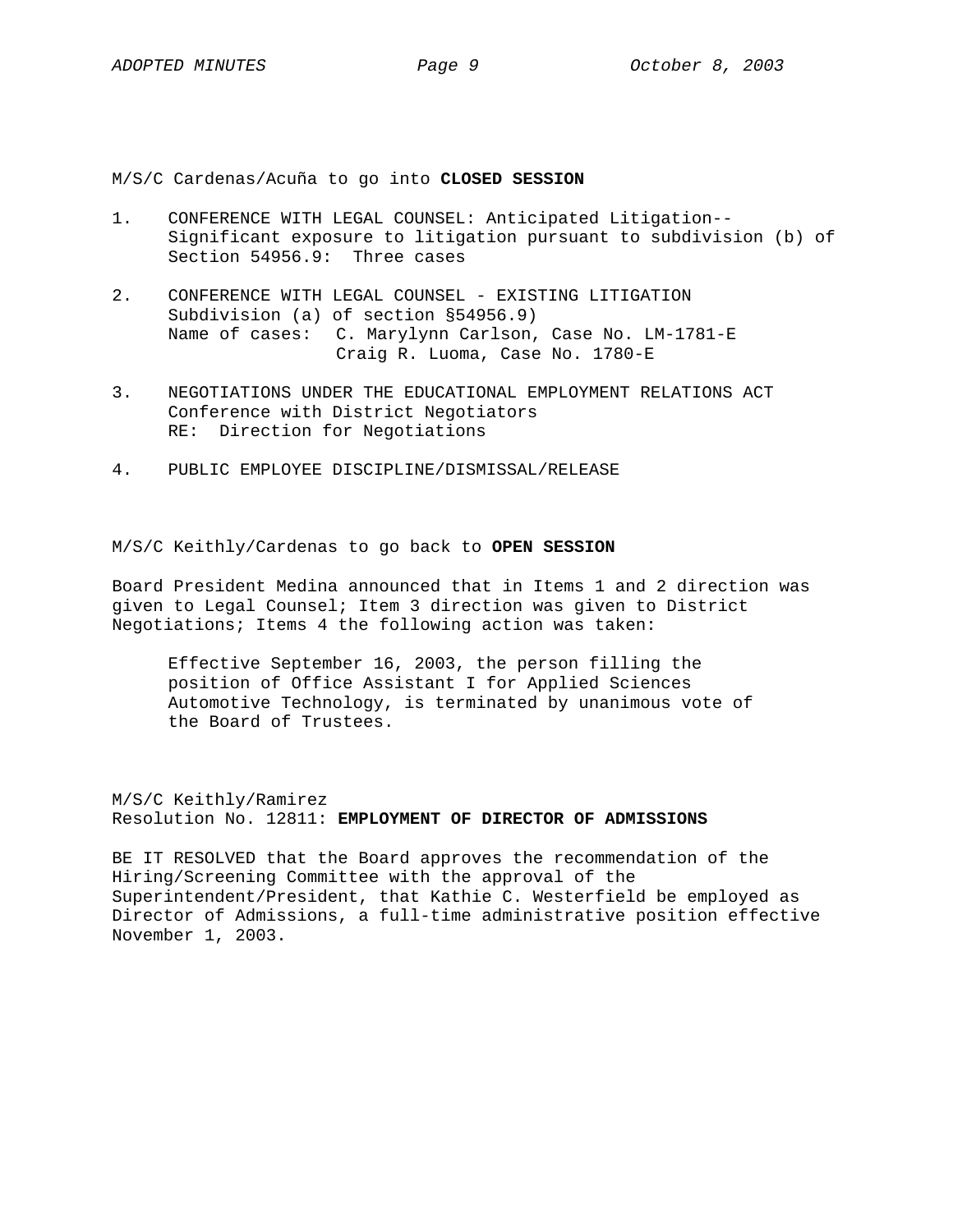M/S/C Cardenas/Acuña to go into **CLOSED SESSION** 

- 1. CONFERENCE WITH LEGAL COUNSEL: Anticipated Litigation-- Significant exposure to litigation pursuant to subdivision (b) of Section 54956.9: Three cases
- 2. CONFERENCE WITH LEGAL COUNSEL EXISTING LITIGATION Subdivision (a) of section §54956.9) Name of cases: C. Marylynn Carlson, Case No. LM-1781-E Craig R. Luoma, Case No. 1780-E
- 3. NEGOTIATIONS UNDER THE EDUCATIONAL EMPLOYMENT RELATIONS ACT Conference with District Negotiators RE: Direction for Negotiations
- 4. PUBLIC EMPLOYEE DISCIPLINE/DISMISSAL/RELEASE

## M/S/C Keithly/Cardenas to go back to **OPEN SESSION**

Board President Medina announced that in Items 1 and 2 direction was given to Legal Counsel; Item 3 direction was given to District Negotiations; Items 4 the following action was taken:

Effective September 16, 2003, the person filling the position of Office Assistant I for Applied Sciences Automotive Technology, is terminated by unanimous vote of the Board of Trustees.

M/S/C Keithly/Ramirez Resolution No. 12811: **EMPLOYMENT OF DIRECTOR OF ADMISSIONS**

BE IT RESOLVED that the Board approves the recommendation of the Hiring/Screening Committee with the approval of the Superintendent/President, that Kathie C. Westerfield be employed as Director of Admissions, a full-time administrative position effective November 1, 2003.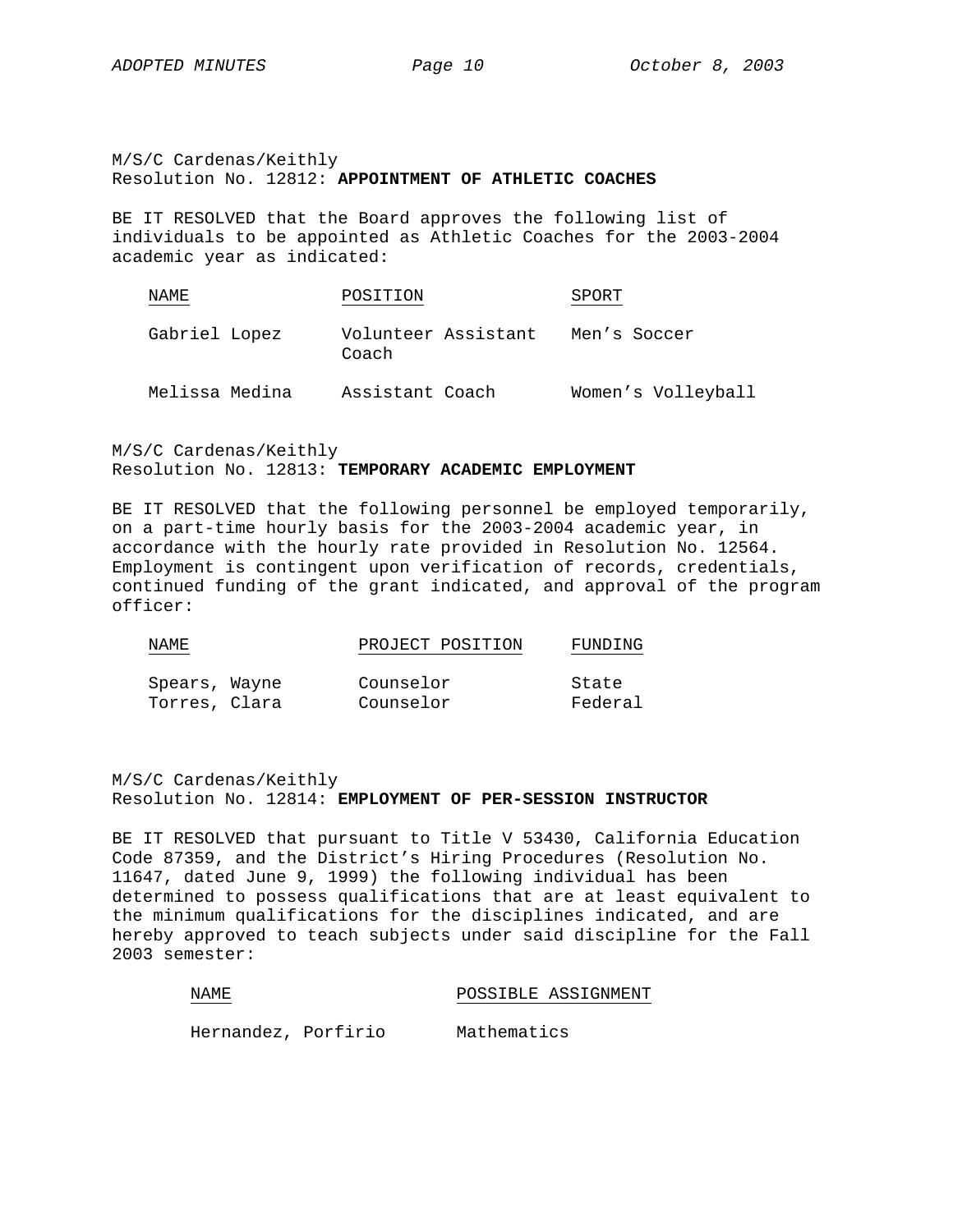M/S/C Cardenas/Keithly Resolution No. 12812: **APPOINTMENT OF ATHLETIC COACHES**

BE IT RESOLVED that the Board approves the following list of individuals to be appointed as Athletic Coaches for the 2003-2004 academic year as indicated:

| NAME           | POSITION        |                     | SPORT              |
|----------------|-----------------|---------------------|--------------------|
| Gabriel Lopez  | Coach           | Volunteer Assistant | Men's Soccer       |
| Melissa Medina | Assistant Coach |                     | Women's Volleyball |

M/S/C Cardenas/Keithly Resolution No. 12813: **TEMPORARY ACADEMIC EMPLOYMENT**

BE IT RESOLVED that the following personnel be employed temporarily, on a part-time hourly basis for the 2003-2004 academic year, in accordance with the hourly rate provided in Resolution No. 12564. Employment is contingent upon verification of records, credentials, continued funding of the grant indicated, and approval of the program officer:

| NAME. | PROJECT POSITION | FUNDING |
|-------|------------------|---------|
|       |                  |         |

| Spears, Wayne | Counselor | State   |
|---------------|-----------|---------|
| Torres, Clara | Counselor | Federal |

M/S/C Cardenas/Keithly Resolution No. 12814: **EMPLOYMENT OF PER-SESSION INSTRUCTOR**

BE IT RESOLVED that pursuant to Title V 53430, California Education Code 87359, and the District's Hiring Procedures (Resolution No. 11647, dated June 9, 1999) the following individual has been determined to possess qualifications that are at least equivalent to the minimum qualifications for the disciplines indicated, and are hereby approved to teach subjects under said discipline for the Fall 2003 semester:

NAME POSSIBLE ASSIGNMENT

Hernandez, Porfirio Mathematics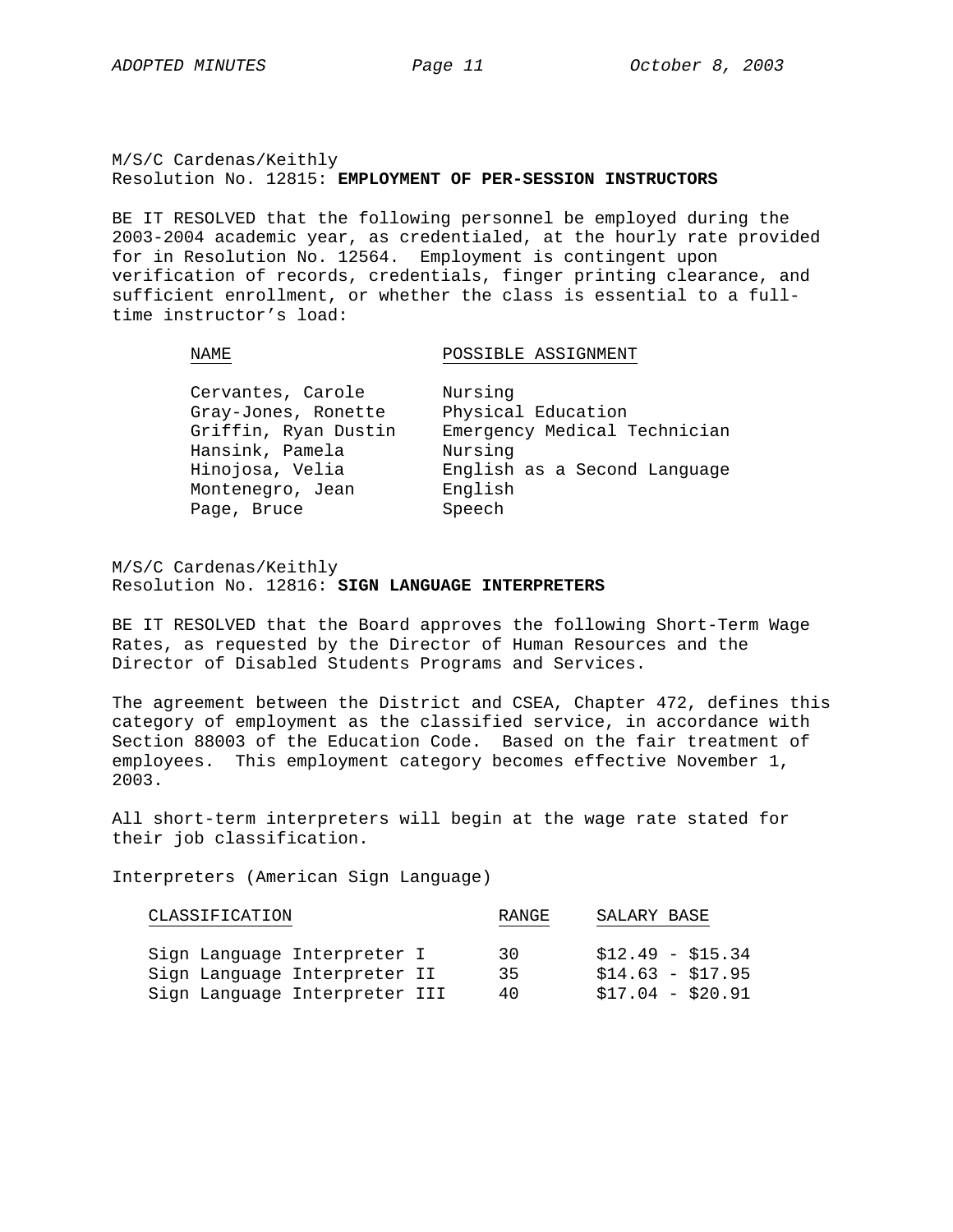M/S/C Cardenas/Keithly Resolution No. 12815: **EMPLOYMENT OF PER-SESSION INSTRUCTORS**

BE IT RESOLVED that the following personnel be employed during the 2003-2004 academic year, as credentialed, at the hourly rate provided for in Resolution No. 12564. Employment is contingent upon verification of records, credentials, finger printing clearance, and sufficient enrollment, or whether the class is essential to a fulltime instructor's load:

NAME POSSIBLE ASSIGNMENT

| Cervantes, Carole    | Nursing                      |
|----------------------|------------------------------|
| Gray-Jones, Ronette  | Physical Education           |
| Griffin, Ryan Dustin | Emergency Medical Technician |
| Hansink, Pamela      | Nursing                      |
| Hinojosa, Velia      | English as a Second Language |
| Montenegro, Jean     | English                      |
| Page, Bruce          | Speech                       |
|                      |                              |

M/S/C Cardenas/Keithly Resolution No. 12816: **SIGN LANGUAGE INTERPRETERS**

BE IT RESOLVED that the Board approves the following Short-Term Wage Rates, as requested by the Director of Human Resources and the Director of Disabled Students Programs and Services.

The agreement between the District and CSEA, Chapter 472, defines this category of employment as the classified service, in accordance with Section 88003 of the Education Code. Based on the fair treatment of employees. This employment category becomes effective November 1, 2003.

All short-term interpreters will begin at the wage rate stated for their job classification.

Interpreters (American Sign Language)

| CLASSIFICATION                | RANGE | SALARY BASE       |
|-------------------------------|-------|-------------------|
| Sign Language Interpreter I   | 30    | $$12.49 - $15.34$ |
| Sign Language Interpreter II  | 35    | $$14.63 - $17.95$ |
| Sign Language Interpreter III | 40    | $$17.04 - $20.91$ |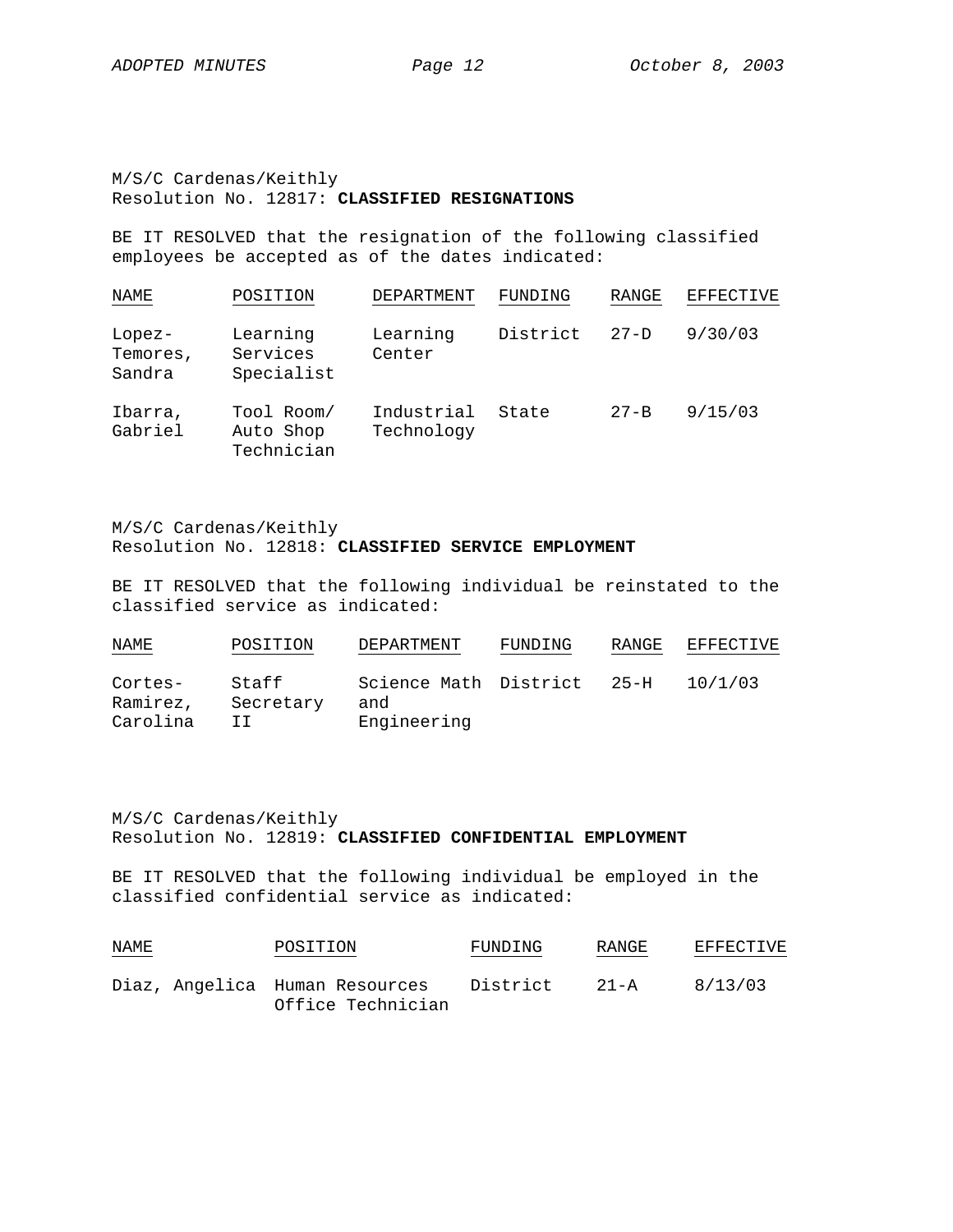# M/S/C Cardenas/Keithly Resolution No. 12817: **CLASSIFIED RESIGNATIONS**

BE IT RESOLVED that the resignation of the following classified employees be accepted as of the dates indicated:

| <b>NAME</b>                    | POSITION                              | DEPARTMENT               | FUNDING  | RANGE    | EFFECTIVE |
|--------------------------------|---------------------------------------|--------------------------|----------|----------|-----------|
| $Lopez-$<br>Temores,<br>Sandra | Learning<br>Services<br>Specialist    | Learning<br>Center       | District | $27-D$   | 9/30/03   |
| Ibarra,<br>Gabriel             | Tool Room/<br>Auto Shop<br>Technician | Industrial<br>Technology | State    | $27 - B$ | 9/15/03   |

M/S/C Cardenas/Keithly Resolution No. 12818: **CLASSIFIED SERVICE EMPLOYMENT** 

BE IT RESOLVED that the following individual be reinstated to the classified service as indicated:

| NAME                            | POSITION                  | DEPARTMENT                                       | FUNDING | RANGE | EFFECTIVE |
|---------------------------------|---------------------------|--------------------------------------------------|---------|-------|-----------|
| Cortes-<br>Ramirez,<br>Carolina | Staff<br>Secretary<br>T T | Science Math District 25-H<br>and<br>Engineering |         |       | 10/1/03   |

M/S/C Cardenas/Keithly Resolution No. 12819: **CLASSIFIED CONFIDENTIAL EMPLOYMENT**

BE IT RESOLVED that the following individual be employed in the classified confidential service as indicated:

| NAME<br><b>Contract Contract Contract</b> | POSITION                                            | FUNDING  | RANGE    | EFFECTIVE |
|-------------------------------------------|-----------------------------------------------------|----------|----------|-----------|
|                                           | Diaz, Angelica Human Resources<br>Office Technician | District | $21 - A$ | 8/13/03   |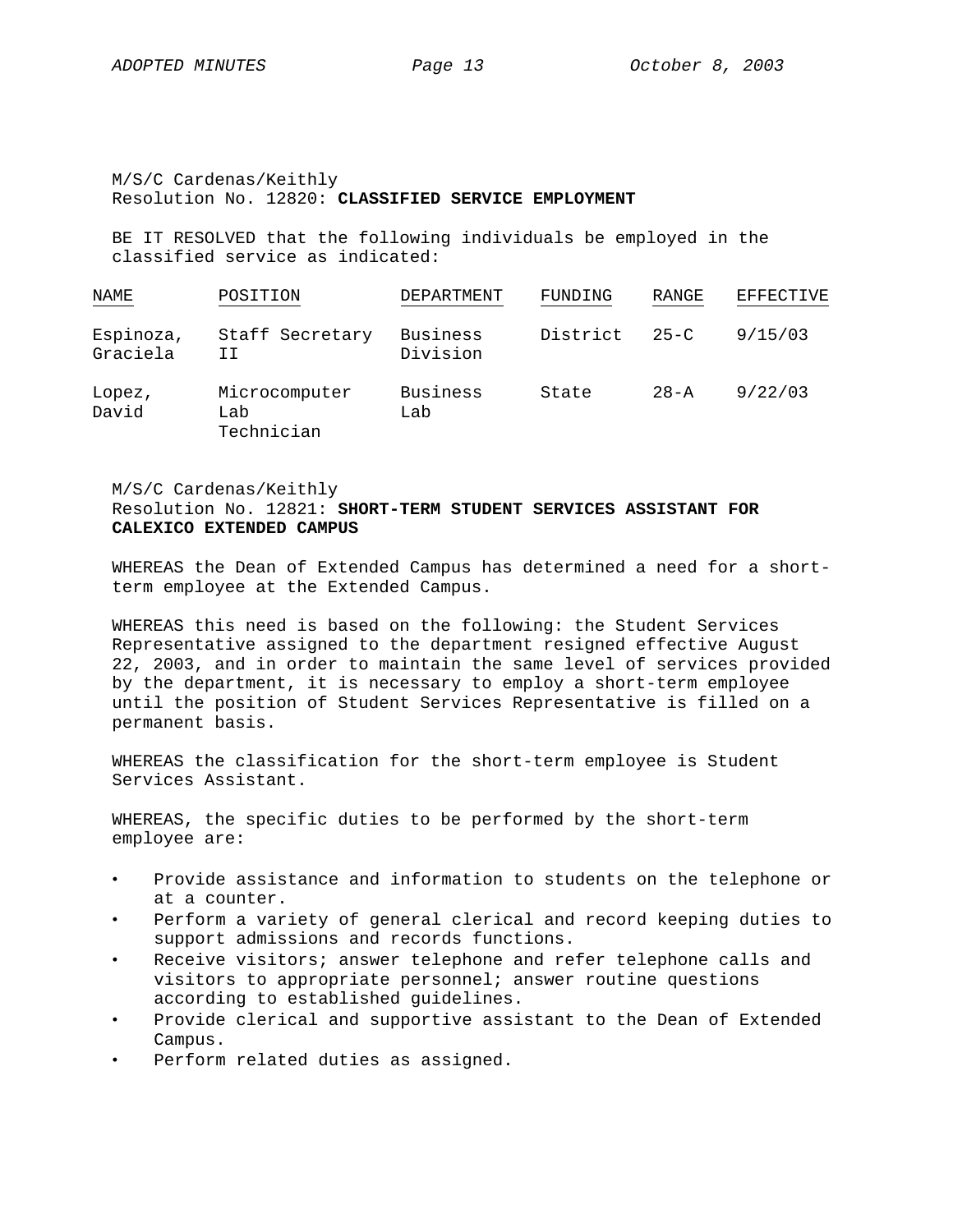M/S/C Cardenas/Keithly Resolution No. 12820: **CLASSIFIED SERVICE EMPLOYMENT** 

BE IT RESOLVED that the following individuals be employed in the classified service as indicated:

| NAME                  | POSITION                           | DEPARTMENT           | FUNDING  | RANGE    | EFFECTIVE |
|-----------------------|------------------------------------|----------------------|----------|----------|-----------|
| Espinoza,<br>Graciela | Staff Secretary<br>T T             | Business<br>Division | District | $25 - C$ | 9/15/03   |
| Lopez,<br>David       | Microcomputer<br>Lab<br>Technician | Business<br>Lab      | State    | $28 - A$ | 9/22/03   |

# M/S/C Cardenas/Keithly Resolution No. 12821: **SHORT-TERM STUDENT SERVICES ASSISTANT FOR CALEXICO EXTENDED CAMPUS**

WHEREAS the Dean of Extended Campus has determined a need for a shortterm employee at the Extended Campus.

WHEREAS this need is based on the following: the Student Services Representative assigned to the department resigned effective August 22, 2003, and in order to maintain the same level of services provided by the department, it is necessary to employ a short-term employee until the position of Student Services Representative is filled on a permanent basis.

WHEREAS the classification for the short-term employee is Student Services Assistant.

WHEREAS, the specific duties to be performed by the short-term employee are:

- Provide assistance and information to students on the telephone or at a counter.
- Perform a variety of general clerical and record keeping duties to support admissions and records functions.
- Receive visitors; answer telephone and refer telephone calls and visitors to appropriate personnel; answer routine questions according to established guidelines.
- Provide clerical and supportive assistant to the Dean of Extended Campus.
- Perform related duties as assigned.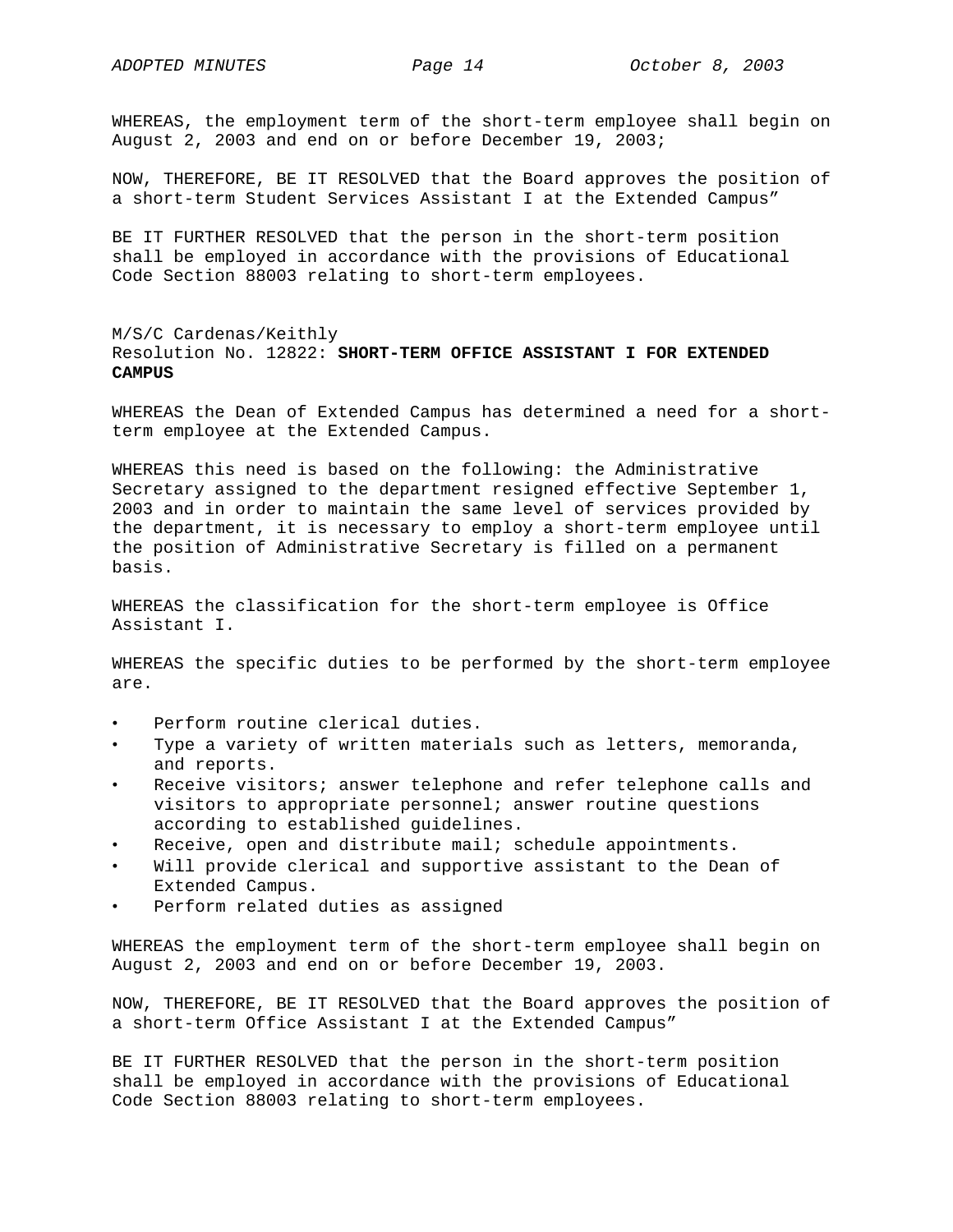WHEREAS, the employment term of the short-term employee shall begin on August 2, 2003 and end on or before December 19, 2003;

NOW, THEREFORE, BE IT RESOLVED that the Board approves the position of a short-term Student Services Assistant I at the Extended Campus"

BE IT FURTHER RESOLVED that the person in the short-term position shall be employed in accordance with the provisions of Educational Code Section 88003 relating to short-term employees.

# M/S/C Cardenas/Keithly Resolution No. 12822: **SHORT-TERM OFFICE ASSISTANT I FOR EXTENDED CAMPUS**

WHEREAS the Dean of Extended Campus has determined a need for a shortterm employee at the Extended Campus.

WHEREAS this need is based on the following: the Administrative Secretary assigned to the department resigned effective September 1, 2003 and in order to maintain the same level of services provided by the department, it is necessary to employ a short-term employee until the position of Administrative Secretary is filled on a permanent basis.

WHEREAS the classification for the short-term employee is Office Assistant I.

WHEREAS the specific duties to be performed by the short-term employee are.

- Perform routine clerical duties.
- Type a variety of written materials such as letters, memoranda, and reports.
- Receive visitors; answer telephone and refer telephone calls and visitors to appropriate personnel; answer routine questions according to established guidelines.
- Receive, open and distribute mail; schedule appointments.
- Will provide clerical and supportive assistant to the Dean of Extended Campus.
- Perform related duties as assigned

WHEREAS the employment term of the short-term employee shall begin on August 2, 2003 and end on or before December 19, 2003.

NOW, THEREFORE, BE IT RESOLVED that the Board approves the position of a short-term Office Assistant I at the Extended Campus"

BE IT FURTHER RESOLVED that the person in the short-term position shall be employed in accordance with the provisions of Educational Code Section 88003 relating to short-term employees.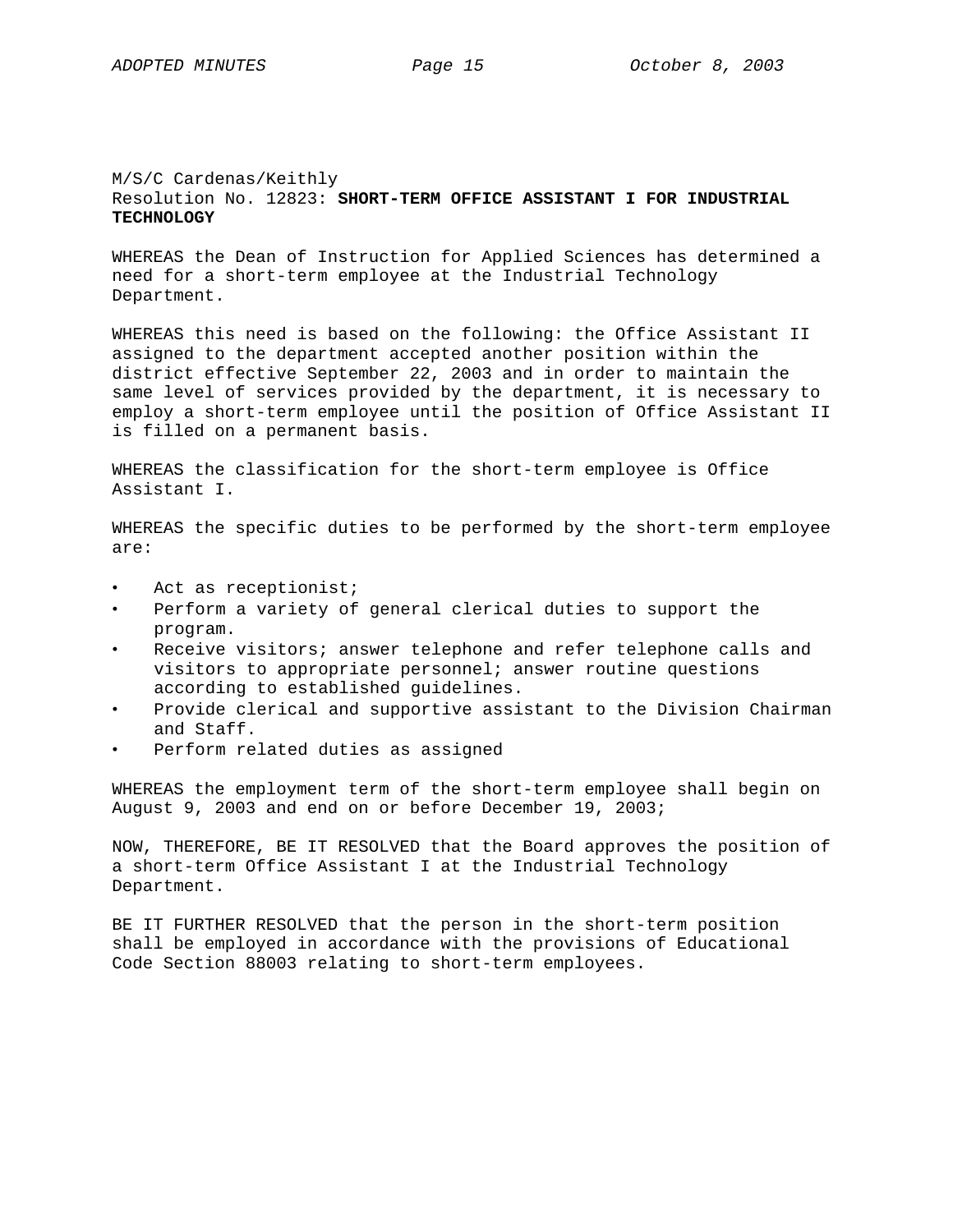# M/S/C Cardenas/Keithly Resolution No. 12823: **SHORT-TERM OFFICE ASSISTANT I FOR INDUSTRIAL TECHNOLOGY**

WHEREAS the Dean of Instruction for Applied Sciences has determined a need for a short-term employee at the Industrial Technology Department.

WHEREAS this need is based on the following: the Office Assistant II assigned to the department accepted another position within the district effective September 22, 2003 and in order to maintain the same level of services provided by the department, it is necessary to employ a short-term employee until the position of Office Assistant II is filled on a permanent basis.

WHEREAS the classification for the short-term employee is Office Assistant I.

WHEREAS the specific duties to be performed by the short-term employee are:

- Act as receptionist;
- Perform a variety of general clerical duties to support the program.
- Receive visitors; answer telephone and refer telephone calls and visitors to appropriate personnel; answer routine questions according to established guidelines.
- Provide clerical and supportive assistant to the Division Chairman and Staff.
- Perform related duties as assigned

WHEREAS the employment term of the short-term employee shall begin on August 9, 2003 and end on or before December 19, 2003;

NOW, THEREFORE, BE IT RESOLVED that the Board approves the position of a short-term Office Assistant I at the Industrial Technology Department.

BE IT FURTHER RESOLVED that the person in the short-term position shall be employed in accordance with the provisions of Educational Code Section 88003 relating to short-term employees.